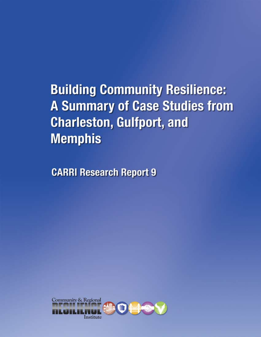**Building Community Resilience: A Summary of Case Studies from Charleston, Gulfport, and Memphis** 

**CARRI Research Report 9** 

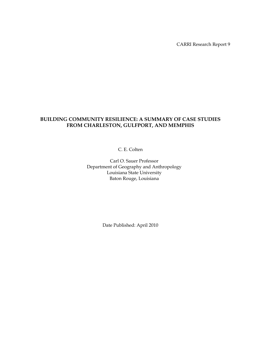CARRI Research Report 9

# **BUILDING COMMUNITY RESILIENCE: A SUMMARY OF CASE STUDIES FROM CHARLESTON, GULFPORT, AND MEMPHIS**

C. E. Colten

Carl O. Sauer Professor Department of Geography and Anthropology Louisiana State University Baton Rouge, Louisiana

Date Published: April 2010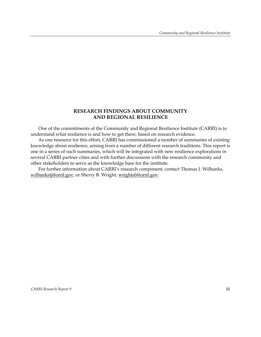## **RESEARCH FINDINGS ABOUT COMMUNITY AND REGIONAL RESILIENCE**

One of the commitments of the Community and Regional Resilience Institute (CARRI) is to understand what resilience is and how to get there, based on research evidence.

As one resource for this effort, CARRI has commissioned a number of summaries of existing knowledge about resilience, arising from a number of different research traditions. This report is one in a series of such summaries, which will be integrated with new resilience explorations in several CARRI partner cities and with further discussions with the research community and other stakeholders to serve as the knowledge base for the institute.

For further information about CARRI's research component, contact Thomas J. Wilbanks, wilbankstj@ornl.gov, or Sherry B. Wright, wrightsb@ornl.gov.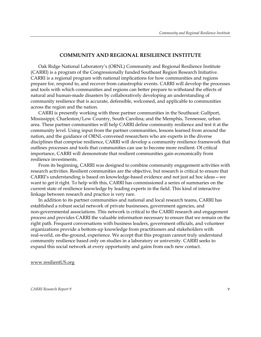#### **COMMUNITY AND REGIONAL RESILIENCE INSTITUTE**

Oak Ridge National Laboratory's (ORNL) Community and Regional Resilience Institute (CARRI) is a program of the Congressionally funded Southeast Region Research Initiative. CARRI is a regional program with national implications for how communities and regions prepare for, respond to, and recover from catastrophic events. CARRI will develop the processes and tools with which communities and regions can better prepare to withstand the effects of natural and human-made disasters by collaboratively developing an understanding of community resilience that is accurate, defensible, welcomed, and applicable to communities across the region and the nation.

CARRI is presently working with three partner communities in the Southeast: Gulfport, Mississippi; Charleston/Low Country, South Carolina; and the Memphis, Tennessee, urban area. These partner communities will help CARRI define community resilience and test it at the community level. Using input from the partner communities, lessons learned from around the nation, and the guidance of ORNL-convened researchers who are experts in the diverse disciplines that comprise resilience, CARRI will develop a community resilience framework that outlines processes and tools that communities can use to become more resilient. Of critical importance, CARRI will demonstrate that resilient communities gain economically from resilience investments.

From its beginning, CARRI was designed to combine community engagement activities with research activities. Resilient communities are the objective, but research is critical to ensure that CARRI's understanding is based on knowledge-based evidence and not just ad hoc ideas—we want to get it right. To help with this, CARRI has commissioned a series of summaries on the current state of resilience knowledge by leading experts in the field. This kind of interactive linkage between research and practice is very rare.

In addition to its partner communities and national and local research teams, CARRI has established a robust social network of private businesses, government agencies, and non-governmental associations. This network is critical to the CARRI research and engagement process and provides CARRI the valuable information necessary to ensure that we remain on the right path. Frequent conversations with business leaders, government officials, and volunteer organizations provide a bottom-up knowledge from practitioners and stakeholders with real-world, on-the-ground, experience. We accept that this program cannot truly understand community resilience based only on studies in a laboratory or university. CARRI seeks to expand this social network at every opportunity and gains from each new contact.

www.resilientUS.org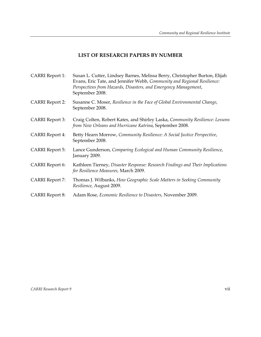# **LIST OF RESEARCH PAPERS BY NUMBER**

| CARRI Report 1:        | Susan L. Cutter, Lindsey Barnes, Melissa Berry, Christopher Burton, Elijah<br>Evans, Eric Tate, and Jennifer Webb, Community and Regional Resilience:<br>Perspectives from Hazards, Disasters, and Emergency Management,<br>September 2008. |
|------------------------|---------------------------------------------------------------------------------------------------------------------------------------------------------------------------------------------------------------------------------------------|
| <b>CARRI</b> Report 2: | Susanne C. Moser, Resilience in the Face of Global Environmental Change,<br>September 2008.                                                                                                                                                 |
| <b>CARRI</b> Report 3: | Craig Colten, Robert Kates, and Shirley Laska, Community Resilience: Lessons<br>from New Orleans and Hurricane Katrina, September 2008.                                                                                                     |
| <b>CARRI</b> Report 4: | Betty Hearn Morrow, Community Resilience: A Social Justice Perspective,<br>September 2008.                                                                                                                                                  |
| <b>CARRI</b> Report 5: | Lance Gunderson, Comparing Ecological and Human Community Resilience,<br>January 2009.                                                                                                                                                      |
| <b>CARRI</b> Report 6: | Kathleen Tierney, Disaster Response: Research Findings and Their Implications<br>for Resilience Measures, March 2009.                                                                                                                       |
| <b>CARRI Report 7:</b> | Thomas J. Wilbanks, How Geographic Scale Matters in Seeking Community<br>Resilience, August 2009.                                                                                                                                           |
| <b>CARRI</b> Report 8: | Adam Rose, Economic Resilience to Disasters, November 2009.                                                                                                                                                                                 |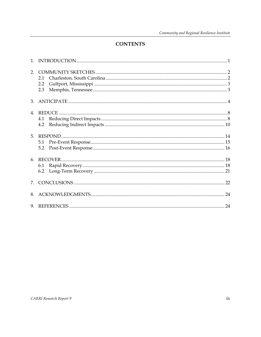# **CONTENTS**

|    | 2.1<br>2.2<br>2.3 |  |
|----|-------------------|--|
|    |                   |  |
|    | 4.2               |  |
|    | 5.1<br>5.2        |  |
|    | 6.1               |  |
| 7. |                   |  |
|    |                   |  |
|    |                   |  |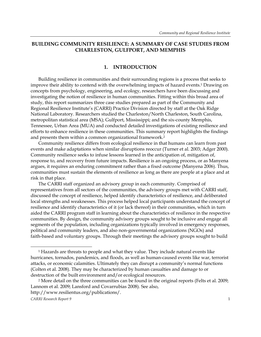# **BUILDING COMMUNITY RESILIENCE: A SUMMARY OF CASE STUDIES FROM CHARLESTON, GULFPORT, AND MEMPHIS**

#### **1. INTRODUCTION**

Building resilience in communities and their surrounding regions is a process that seeks to improve their ability to contend with the overwhelming impacts of hazard events.1 Drawing on concepts from psychology, engineering, and ecology, researchers have been discussing and investigating the notion of resilience in human communities. Fitting within this broad area of study, this report summarizes three case studies prepared as part of the Community and Regional Resilience Institute's (CARRI) Practice Division directed by staff at the Oak Ridge National Laboratory. Researchers studied the Charleston/North Charleston, South Carolina, metropolitan statistical area (MSA); Gulfport, Mississippi; and the six-county Memphis, Tennessee, Urban Area (MUA) and conducted detailed investigations of existing resilience and efforts to enhance resilience in these communities. This summary report highlights the findings and presents them within a common organizational framework.<sup>2</sup>

Community resilience differs from ecological resilience in that humans can learn from past events and make adaptations when similar disruptions reoccur (Turner et al. 2003; Adger 2000). Community resilience seeks to infuse lessons learned in the anticipation of, mitigation of, response to, and recovery from future impacts. Resilience is an ongoing process, or as Manyena argues, it requires an enduring commitment rather than a fixed outcome (Manyena 2006). Thus, communities must sustain the elements of resilience as long as there are people at a place and at risk in that place.

The CARRI staff organized an advisory group in each community. Comprised of representatives from all sectors of the communities, the advisory groups met with CARRI staff, discussed the concept of resilience, helped identify characteristics of resilience, and deliberated local strengths and weaknesses. This process helped local participants understand the concept of resilience and identify characteristics of it (or lack thereof) in their communities, which in turn aided the CARRI program staff in learning about the characteristics of resilience in the respective communities. By design, the community advisory groups sought to be inclusive and engage all segments of the population, including organizations typically involved in emergency responses, political and community leaders, and also non-governmental organizations (NGOs) and faith-based and voluntary groups. Through their meetings the advisory groups sought to build

 $\overline{a}$ 

<sup>&</sup>lt;sup>1</sup> Hazards are threats to people and what they value. They include natural events like hurricanes, tornados, pandemics, and floods, as well as human-caused events like war, terrorist attacks, or economic calamities. Ultimately they can disrupt a community's normal functions (Colten et al. 2008). They may be characterized by human casualties and damage to or destruction of the built environment and/or ecological resources.

<sup>&</sup>lt;sup>2</sup> More detail on the three communities can be found in the original reports (Felts et al. 2009; Lannom et al. 2009; Lansford and Covarrubias 2008). See also, http://www.resilientus.org/publications/.

*CARRI Research Report 9* 1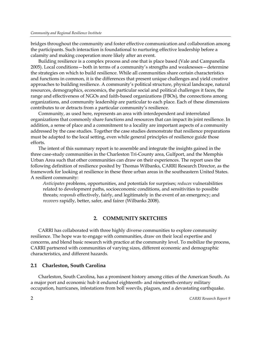bridges throughout the community and foster effective communication and collaboration among the participants. Such interaction is foundational to nurturing effective leadership before a calamity and making cooperation more likely after an event.

Building resilience is a complex process and one that is place based (Vale and Campanella 2005). Local conditions—both in terms of a community's strengths and weaknesses—determine the strategies on which to build resilience. While all communities share certain characteristics and functions in common, it is the differences that present unique challenges and yield creative approaches to building resilience. A community's political structure, physical landscape, natural resources, demographics, economics, the particular social and political challenges it faces, the range and effectiveness of NGOs and faith-based organizations (FBOs), the connections among organizations, and community leadership are particular to each place. Each of these dimensions contributes to or detracts from a particular community's resilience.

Community, as used here, represents an area with interdependent and interrelated organizations that commonly share functions and resources that can impact its joint resilience. In addition, a sense of place and a commitment to a locality are important aspects of a community addressed by the case studies. Together the case studies demonstrate that resilience preparations must be adapted to the local setting, even while general principles of resilience guide those efforts.

The intent of this summary report is to assemble and integrate the insights gained in the three case-study communities in the Charleston Tri-County area, Gulfport, and the Memphis Urban Area such that other communities can draw on their experiences. The report uses the following definition of resilience posited by Thomas Wilbanks, CARRI Research Director, as the framework for looking at resilience in these three urban areas in the southeastern United States. A resilient community:

*Anticipates* problems, opportunities, and potentials for surprises; *reduces* vulnerabilities related to development paths, socioeconomic conditions, and sensitivities to possible threats; *responds* effectively, fairly, and legitimately in the event of an emergency; and *recovers* rapidly, better, safer, and fairer (Wilbanks 2008).

# **2. COMMUNITY SKETCHES**

CARRI has collaborated with three highly diverse communities to explore community resilience. The hope was to engage with communities, draw on their local expertise and concerns, and blend basic research with practice at the community level. To mobilize the process, CARRI partnered with communities of varying sizes, different economic and demographic characteristics, and different hazards.

#### **2.1 Charleston, South Carolina**

Charleston, South Carolina, has a prominent history among cities of the American South. As a major port and economic hub it endured eighteenth- and nineteenth-century military occupation, hurricanes, infestations from boll weevils, plagues, and a devastating earthquake.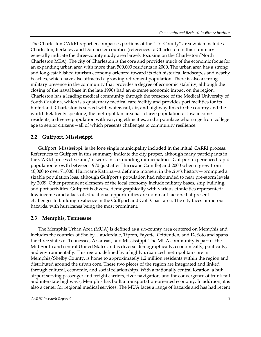The Charleston CARRI report encompasses portions of the "Tri-County" area which includes Charleston, Berkeley, and Dorchester counties (references to Charleston in this summary generally indicate the three-county study area largely focusing on the Charleston/North Charleston MSA). The city of Charleston is the core and provides much of the economic focus for an expanding urban area with more than 500,000 residents in 2000. The urban area has a strong and long-established tourism economy oriented toward its rich historical landscapes and nearby beaches, which have also attracted a growing retirement population. There is also a strong military presence in the community that provides a degree of economic stability, although the closing of the naval base in the late 1990s had an extreme economic impact on the region. Charleston has a leading medical community through the presence of the Medical University of South Carolina, which is a quaternary medical care facility and provides port facilities for its hinterland. Charleston is served with water, rail, air, and highway links to the country and the world. Relatively speaking, the metropolitan area has a large population of low-income residents, a diverse population with varying ethnicities, and a populace who range from college age to senior citizens—all of which presents challenges to community resilience.

### **2.2 Gulfport, Mississippi**

Gulfport, Mississippi, is the lone single municipality included in the initial CARRI process. References to Gulfport in this summary indicate the city proper, although many participants in the CARRI process live and/or work in surrounding municipalities. Gulfport experienced rapid population growth between 1970 (just after Hurricane Camille) and 2000 when it grew from 40,000 to over 71,000. Hurricane Katrina—a defining moment in the city's history—prompted a sizable population loss, although Gulfport's population had rebounded to near pre-storm levels by 2009. Other prominent elements of the local economy include military bases, ship building, and port activities. Gulfport is diverse demographically with various ethnicities represented; low incomes and a lack of educational opportunities are dominant factors that present challenges to building resilience in the Gulfport and Gulf Coast area. The city faces numerous hazards, with hurricanes being the most prominent.

#### **2.3 Memphis, Tennessee**

The Memphis Urban Area (MUA) is defined as a six-county area centered on Memphis and includes the counties of Shelby, Lauderdale, Tipton, Fayette, Crittenden, and DeSoto and spans the three states of Tennessee, Arkansas, and Mississippi. The MUA community is part of the Mid-South and central United States and is diverse demographically, economically, politically, and environmentally. This region, defined by a highly urbanized metropolitan core in Memphis/Shelby County, is home to approximately 1.2 million residents within the region and distributed around the urban core. These two pieces of the region are integrated and linked through cultural, economic, and social relationships. With a nationally central location, a hub airport serving passenger and freight carriers, river navigation, and the convergence of trunk rail and interstate highways, Memphis has built a transportation-oriented economy. In addition, it is also a center for regional medical services. The MUA faces a range of hazards and has had recent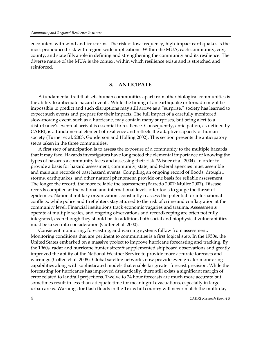encounters with wind and ice storms. The risk of low-frequency, high-impact earthquakes is the most pronounced risk with region-wide implications. Within the MUA, each community, city, county, and state fills a role in defining and strengthening the community and its resilience. The diverse nature of the MUA is the context within which resilience exists and is stretched and reinforced.

#### **3. ANTICIPATE**

A fundamental trait that sets human communities apart from other biological communities is the ability to anticipate hazard events. While the timing of an earthquake or tornado might be impossible to predict and such disruptions may still arrive as a "surprise," society has learned to expect such events and prepare for their impacts. The full impact of a carefully monitored slow-moving event, such as a hurricane, may contain many surprises, but being alert to a disturbance's eventual arrival is essential to resilience. Consequently, anticipation, as defined by CARRI, is a fundamental element of resilience and reflects the adaptive capacity of human society (Turner et al. 2003; Gunderson and Holling 2002). This section presents the anticipatory steps taken in the three communities.

A first step of anticipation is to assess the exposure of a community to the multiple hazards that it may face. Hazards investigators have long noted the elemental importance of knowing the types of hazards a community faces and assessing their risk (Wisner et al. 2004). In order to provide a basis for hazard assessment, community, state, and federal agencies must assemble and maintain records of past hazard events. Compiling an ongoing record of floods, drought, storms, earthquakes, and other natural phenomena provide one basis for reliable assessment. The longer the record, the more reliable the assessment (Barredo 2007; Muller 2007). Disease records compiled at the national and international levels offer tools to gauge the threat of epidemics. National military organizations constantly reassess the potential for international conflicts, while police and firefighters stay attuned to the risk of crime and conflagration at the community level. Financial institutions track economic vagaries and trauma. Assessments operate at multiple scales, and ongoing observations and recordkeeping are often not fully integrated, even though they should be. In addition, both social and biophysical vulnerabilities must be taken into consideration (Cutter et al. 2000).

Consistent monitoring, forecasting, and warning systems follow from assessment. Monitoring conditions that are pertinent to communities is a first logical step. In the 1950s, the United States embarked on a massive project to improve hurricane forecasting and tracking. By the 1960s, radar and hurricane hunter aircraft supplemented shipboard observations and greatly improved the ability of the National Weather Service to provide more accurate forecasts and warnings (Colten et al. 2008). Global satellite networks now provide even greater monitoring capabilities along with sophisticated models that enable far greater forecast precision. While the forecasting for hurricanes has improved dramatically, there still exists a significant margin of error related to landfall projections. Twelve to 24 hour forecasts are much more accurate but sometimes result in less-than-adequate time for meaningful evacuations, especially in large urban areas. Warnings for flash floods in the Texas hill country will never match the multi-day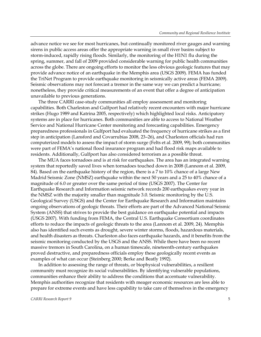advance notice we see for most hurricanes, but continually monitored river gauges and warning sirens in public access areas offer the appropriate warning in small river basins subject to storm-induced, rapidly rising floods. Similarly, the monitoring of the H1N1 flu during the spring, summer, and fall of 2009 provided considerable warning for public health communities across the globe. There are ongoing efforts to monitor the less obvious geologic features that may provide advance notice of an earthquake in the Memphis area (USGS 2009). FEMA has funded the TriNet Program to provide earthquake monitoring in seismically active areas (FEMA 2009). Seismic observations may not forecast a tremor in the same way we can predict a hurricane; nonetheless, they provide critical measurements of an event that offer a degree of anticipation unavailable to previous generations.

The three CARRI case-study communities all employ assessment and monitoring capabilities. Both Charleston and Gulfport had relatively recent encounters with major hurricane strikes (Hugo 1989 and Katrina 2005, respectively) which highlighted local risks. Anticipatory systems are in place for hurricanes. Both communities are able to access to National Weather Service and National Hurricane Center monitoring and forecasting capabilities. Emergency preparedness professionals in Gulfport had evaluated the frequency of hurricane strikes as a first step in anticipation (Lansford and Covarrubias 2008, 23–26), and Charleston officials had run computerized models to assess the impact of storm surge (Felts et al. 2009, 99); both communities were part of FEMA's national flood insurance program and had flood risk maps available to residents. Additionally, Gulfport has also considered terrorism as a possible threat.

The MUA faces tornadoes and is at risk for earthquakes. The area has an integrated warning system that reportedly saved lives when tornadoes touched down in 2008 (Lannom et al. 2009, 84). Based on the earthquake history of the region, there is a 7 to 10% chance of a large New Madrid Seismic Zone (NMSZ) earthquake within the next 50 years and a 25 to 40% chance of a magnitude of 6.0 or greater over the same period of time (USGS 2007). The Center for Earthquake Research and Information seismic network records 200 earthquakes every year in the NMSZ with the majority smaller than magnitude 3.0. Seismic monitoring by the U.S. Geological Survey (USGS) and the Center for Earthquake Research and Information maintains ongoing observations of geologic threats. Their efforts are part of the Advanced National Seismic System (ANSS) that strives to provide the best guidance on earthquake potential and impacts (USGS 2007). With funding from FEMA, the Central U.S. Earthquake Consortium coordinates efforts to reduce the impacts of geologic threats to the area (Lannom et al. 2009, 24). Memphis also has identified such events as drought, severe winter storms, floods, hazardous materials, and health disasters as threats. Charleston also faces earthquake hazards, and it benefits from the seismic monitoring conducted by the USGS and the ANSS. While there have been no recent massive tremors in South Carolina, on a human timescale, nineteenth-century earthquakes proved destructive, and preparedness officials employ these geologically recent events as examples of what can occur (Steinberg 2000; Berke and Beatly 1992).

In addition to assessing the range of threats, or biophysical vulnerabilities, a resilient community must recognize its social vulnerabilities. By identifying vulnerable populations, communities enhance their ability to address the conditions that accentuate vulnerability. Memphis authorities recognize that residents with meager economic resources are less able to prepare for extreme events and have less capability to take care of themselves in the emergency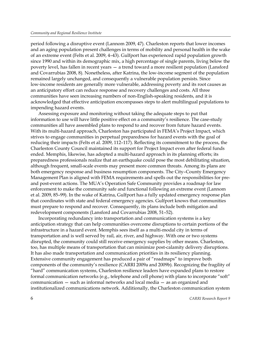period following a disruptive event (Lannom 2009, 47). Charleston reports that lower incomes and an aging population present challenges in terms of mobility and personal health in the wake of an extreme event (Felts et al. 2009, 4–43). Gulfport has experienced rapid population growth since 1990 and within its demographic mix, a high percentage of single parents, living below the poverty level, has fallen in recent years — a trend toward a more resilient population (Lansford and Covarrubias 2008, 8). Nonetheless, after Katrina, the low-income segment of the population remained largely unchanged, and consequently a vulnerable population persists. Since low-income residents are generally more vulnerable, addressing poverty and its root causes as an anticipatory effort can reduce response and recovery challenges and costs. All three communities have seen increasing numbers of non-English-speaking residents, and it is acknowledged that effective anticipation encompasses steps to alert multilingual populations to impending hazard events.

Assessing exposure and monitoring without taking the adequate steps to put that information to use will have little positive effect on a community's resilience. The case-study communities all have assembled plans to respond to and recover from future hazard events. With its multi-hazard approach, Charleston has participated in FEMA's Project Impact, which strives to engage communities in perpetual preparedness for hazard events with the goal of reducing their impacts (Felts et al. 2009, 112–117). Reflecting its commitment to the process, the Charleston County Council maintained its support for Project Impact even after federal funds ended. Memphis, likewise, has adopted a multi-hazard approach in its planning efforts; its preparedness professionals realize that an earthquake could pose the most debilitating situation, although frequent, small-scale events may present more common threats. Among its plans are both emergency response and business resumption components. The City–County Emergency Management Plan is aligned with FEMA requirements and spells out the responsibilities for preand post-event actions. The MUA's Operation Safe Community provides a roadmap for law enforcement to make the community safe and functional following an extreme event (Lannom et al. 2009, 85–99). In the wake of Katrina, Gulfport has a fully updated emergency response plan that coordinates with state and federal emergency agencies. Gulfport knows that communities must prepare to respond and recover. Consequently, its plans include both mitigation and redevelopment components (Lansford and Covarrubias 2008, 51–52).

Incorporating redundancy into transportation and communication systems is a key anticipation strategy that can help communities overcome disruptions to certain portions of the infrastructure in a hazard event. Memphis sees itself as a multi-modal city in terms of transportation and is well served by rail, air, river, and highway. With one or two systems disrupted, the community could still receive emergency supplies by other means. Charleston, too, has multiple means of transportation that can minimize post-calamity delivery disruptions. It has also made transportation and communication priorities in its resiliency planning. Extensive community engagement has produced a pair of "roadmaps" to improve both components of the community's resilience (CARRI 2009a and 2009b). Recognizing the fragility of "hard" communication systems, Charleston resilience leaders have expanded plans to restore formal communication networks (e.g., telephone and cell phone) with plans to incorporate "soft" communication — such as informal networks and local media — as an organized and institutionalized communications network. Additionally, the Charleston communication system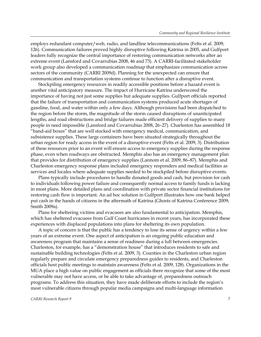employs redundant computer/web, radio, and landline telecommunications (Felts et al. 2009, 126). Communication failures proved highly disruptive following Katrina in 2005, and Gulfport leaders fully recognize the central importance of restoring communication networks after an extreme event (Lansford and Covarrubias 2008, 46 and 73). A CARRI-facilitated stakeholder work group also developed a communication roadmap that emphasizes communication across sectors of the community (CARRI 2009d). Planning for the unexpected can ensure that communication and transportation systems continue to function after a disruptive event.

Stockpiling emergency resources in readily accessible positions before a hazard event is another vital anticipatory measure. The impact of Hurricane Katrina underscored the importance of having not just some supplies but adequate supplies. Gulfport officials reported that the failure of transportation and communication systems produced acute shortages of gasoline, food, and water within only a few days. Although provisions had been dispatched to the region before the storm, the magnitude of the storm caused disruptions of unanticipated lengths, and road obstructions and bridge failures made efficient delivery of supplies to many people in need impossible (Lansford and Covarrubias 2008, 26–27). Charleston has assembled 18 "band-aid boxes" that are well stocked with emergency medical, communication, and subsistence supplies. These large containers have been situated strategically throughout the urban region for ready access in the event of a disruptive event (Felts et al. 2009, 3). Distribution of these resources prior to an event will ensure access to emergency supplies during the response phase, even when roadways are obstructed. Memphis also has an emergency management plan that provides for distribution of emergency supplies (Lannom et al. 2009, 86–87). Memphis and Charleston emergency response plans included emergency responders and medical facilities as services and locales where adequate supplies needed to be stockpiled before disruptive events.

Plans typically include procedures to handle donated goods and cash, but provision for cash to individuals following power failure and consequently normal access to family funds is lacking in most plans. More detailed plans and coordination with private sector financial institutions for restoring cash flow is important. An ad hoc solution in Gulfport illustrates how one bank helped put cash in the hands of citizens in the aftermath of Katrina (Ghosts of Katrina Conference 2009; Smith 2009a).

Plans for sheltering victims and evacuees are also fundamental to anticipation. Memphis, which has sheltered evacuees from Gulf Coast hurricanes in recent years, has incorporated these experiences with displaced populations into plans for sheltering its own population.

A topic of concern is that the public has a tendency to lose its sense of urgency within a few years of an extreme event. One aspect of anticipation is an ongoing public education and awareness program that maintains a sense of readiness during a lull between emergencies. Charleston, for example, has a "demonstration house" that introduces residents to safe and sustainable building technologies (Felts et al. 2009, 3). Counties in the Charleston urban region regularly prepare and circulate emergency preparedness guides to residents, and Charleston officials host public meetings to maintain awareness (Felts et al. 2009, 128). Organizations in the MUA place a high value on public engagement as officials there recognize that some of the most vulnerable may not have access, or be able to take advantage of, preparedness outreach programs. To address this situation, they have made deliberate efforts to include the region's most vulnerable citizens through popular media campaigns and multi-language information

#### *CARRI Research Report 9* 7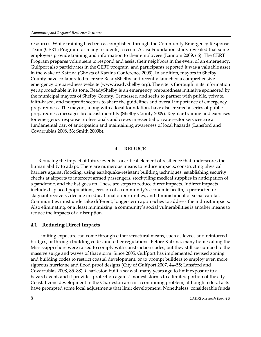resources. While training has been accomplished through the Community Emergency Response Team (CERT) Program for many residents, a recent Assisi Foundation study revealed that some employers provide training and information to their employees (Lannom 2009, 66). The CERT Program prepares volunteers to respond and assist their neighbors in the event of an emergency. Gulfport also participates in the CERT program, and participants reported it was a valuable asset in the wake of Katrina (Ghosts of Katrina Conference 2009). In addition, mayors in Shelby County have collaborated to create ReadyShelby and recently launched a comprehensive emergency preparedness website (www.readyshelby.org). The site is thorough in its information yet approachable in its tone. ReadyShelby is an emergency preparedness initiative sponsored by the municipal mayors of Shelby County, Tennessee, and seeks to partner with public, private, faith-based, and nonprofit sectors to share the guidelines and overall importance of emergency preparedness. The mayors, along with a local foundation, have also created a series of public preparedness messages broadcast monthly (Shelby County 2009). Regular training and exercises for emergency response professionals and crews in essential private sector services are a fundamental part of anticipation and maintaining awareness of local hazards (Lansford and Covarrubias 2008, 53; Smith 2009b).

#### **4. REDUCE**

Reducing the impact of future events is a critical element of resilience that underscores the human ability to adapt. There are numerous means to reduce impacts: constructing physical barriers against flooding, using earthquake-resistant building techniques, establishing security checks at airports to intercept armed passengers, stockpiling medical supplies in anticipation of a pandemic, and the list goes on. These are steps to reduce direct impacts. Indirect impacts include displaced populations, erosion of a community's economic health, a protracted or stagnant recovery, decline in educational opportunities, and diminishment of social capital. Communities must undertake different, longer-term approaches to address the indirect impacts. Also eliminating, or at least minimizing, a community's social vulnerabilities is another means to reduce the impacts of a disruption.

### **4.1 Reducing Direct Impacts**

Limiting exposure can come through either structural means, such as levees and reinforced bridges, or through building codes and other regulations. Before Katrina, many homes along the Mississippi shore were raised to comply with construction codes, but they still succumbed to the massive surge and waves of that storm. Since 2005, Gulfport has implemented revised zoning and building codes to restrict coastal development, or to prompt builders to employ even more rigorous hurricane and flood proof designs (City of Gulfport 2007, 44–55; Lansford and Covarrubias 2008, 85–88). Charleston built a seawall many years ago to limit exposure to a hazard event, and it provides protection against modest storms to a limited portion of the city. Coastal-zone development in the Charleston area is a continuing problem, although federal acts have prompted some local adjustments that limit development. Nonetheless, considerable funds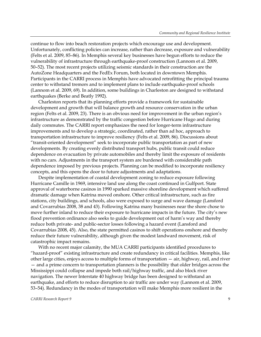continue to flow into beach restoration projects which encourage use and development. Unfortunately, conflicting policies can increase, rather than decrease, exposure and vulnerability (Felts et al. 2009, 85–86). In Memphis several key businesses have begun efforts to reduce the vulnerability of infrastructure through earthquake-proof construction (Lannom et al. 2009, 50–52). The most recent projects utilizing seismic standards in their construction are the AutoZone Headquarters and the FedEx Forum, both located in downtown Memphis. Participants in the CARRI process in Memphis have advocated retrofitting the principal trauma center to withstand tremors and to implement plans to include earthquake-proof schools (Lannom et al. 2009, 69). In addition, some buildings in Charleston are designed to withstand earthquakes (Berke and Beatly 1992).

Charleston reports that its planning efforts provide a framework for sustainable development and growth that will balance growth and resource conservation in the urban region (Felts et al. 2009, 23). There is an obvious need for improvement in the urban region's infrastructure as demonstrated by the traffic congestion before Hurricane Hugo and during daily commutes. The CARRI report emphasizes the need for longer-term infrastructure improvements and to develop a strategic, coordinated, rather than ad hoc, approach to transportation infrastructure to improve resiliency (Felts et al. 2009, 86). Discussions about "transit-oriented development" seek to incorporate public transportation as part of new developments. By creating evenly distributed transport hubs, public transit could reduce dependence on evacuation by private automobiles and thereby limit the exposure of residents with no cars. Adjustments in the transport system are burdened with considerable path dependence imposed by previous projects. Planning can be modified to incorporate resiliency concepts, and this opens the door to future adjustments and adaptations.

Despite implementation of coastal development zoning to reduce exposure following Hurricane Camille in 1969, intensive land use along the coast continued in Gulfport. State approval of waterborne casinos in 1990 sparked massive shoreline development which suffered dramatic damage when Katrina moved onshore. Other critical infrastructure, such as fire stations, city buildings, and schools, also were exposed to surge and wave damage (Lansford and Covarrubias 2008, 38 and 43). Following Katrina many businesses near the shore chose to move further inland to reduce their exposure to hurricane impacts in the future. The city's new flood prevention ordinance also seeks to guide development out of harm's way and thereby reduce both private- and public-sector losses following a hazard event (Lansford and Covarrubias 2008, 45). Also, the state permitted casinos to shift operations onshore and thereby reduce their future vulnerability, although given the modest landward movement, risk of catastrophic impact remains.

With no recent major calamity, the MUA CARRI participants identified procedures to "hazard-proof" existing infrastructure and create redundancy in critical facilities. Memphis, like other large cities, enjoys access to multiple forms of transportation — air, highway, rail, and river — and a prime concern to transportation planners is the possibility that older bridges across the Mississippi could collapse and impede both rail/highway traffic, and also block river navigation. The newer Interstate 40 highway bridge has been designed to withstand an earthquake, and efforts to reduce disruption to air traffic are under way (Lannom et al. 2009, 53–54). Redundancy in the modes of transportation will make Memphis more resilient in the

#### *CARRI Research Report 9* 9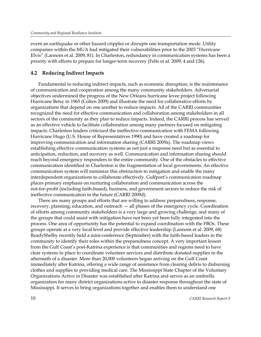event an earthquake or other hazard cripples or disrupts one transportation mode. Utility companies within the MUA had mitigated their vulnerabilities prior to the 2003 "Hurricane Elvis" (Lannom et al. 2009, 81). In Charleston, redundancy in communication systems has been a priority with efforts to prepare for longer-term recovery (Felts et al. 2009, 4 and 126).

### **4.2 Reducing Indirect Impacts**

Fundamental to reducing indirect impacts, such as economic disruption, is the maintenance of communication and cooperation among the many community stakeholders. Adversarial objectives undermined the progress of the New Orleans hurricane levee project following Hurricane Betsy in 1965 (Colten 2009) and illustrate the need for collaborative efforts by organizations that depend on one another to reduce impacts. All of the CARRI communities recognized the need for effective communication and collaboration among stakeholders in all sectors of the community as they plan to reduce impacts. Indeed, the CARRI process has served as an effective vehicle to facilitate collaboration among many partners focused on mitigating impacts. Charleston leaders criticized the ineffective communication with FEMA following Hurricane Hugo (U.S. House of Representatives 1990) and have created a roadmap for improving communication and information sharing (CARRI 2009a). The roadmap views establishing effective communication systems as not just a response need but as essential to anticipation, reduction, and recovery as well. Communication and information sharing should reach beyond emergency responders to the entire community. One of the obstacles to effective communication identified in Charleston is the fragmentation of local governments. An effective communication system will minimize this obstruction to mitigation and enable the many interdependent organizations to collaborate effectively. Gulfport's communication roadmap places primary emphasis on nurturing collaboration and communication across the not-for-profit (including faith-based), business, and government sectors to reduce the risk of ineffective communication in the future (CARRI 2009d).

There are many groups and efforts that are willing to address preparedness, response, recovery, planning, education, and outreach — all phases of the emergency cycle. Coordination of efforts among community stakeholders is a very large and growing challenge, and many of the groups that could assist with mitigation have not been yet been fully integrated into the process. One area of opportunity has the potential to expand coordination with the FBOs. These groups operate at a very local level and provide effective leadership (Lannom et al. 2009, 68) ReadyShelby recently held a mini-conference (September) with the faith-based leaders in the community to identify their roles within the preparedness concept. A very important lesson from the Gulf Coast's post-Katrina experience is that communities and regions need to have clear systems in place to coordinate volunteer services and distribute donated supplies in the aftermath of a disaster. More than 20,000 volunteers began arriving on the Gulf Coast immediately after Katrina, offering a wide range of assistance from clearing debris to disbursing clothes and supplies to providing medical care. The Mississippi State Chapter of the Voluntary Organizations Active in Disaster was established after Katrina and serves as an umbrella organization for many district organizations active in disaster response throughout the state of Mississippi. It serves to bring organizations together and enables them to understand one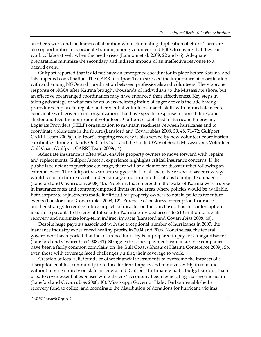another's work and facilitates collaboration while eliminating duplication of effort. There are also opportunities to coordinate training among volunteer and FBOs to ensure that they can work collaboratively when the need arises (Lannom et al. 2009, 22 and 66). Adequate preparations minimize the secondary and indirect impacts of an ineffective response to a hazard event.

Gulfport reported that it did not have an emergency coordinator in place before Katrina, and this impeded coordination. The CARRI Gulfport Team stressed the importance of coordination with and among NGOs and coordination between professionals and volunteers. The vigorous response of NGOs after Katrina brought thousands of individuals to the Mississippi shore, but an effective prearranged coordination may have enhanced their effectiveness. Key steps in taking advantage of what can be an overwhelming influx of eager arrivals include having procedures in place to register and credential volunteers, match skills with immediate needs, coordinate with government organizations that have specific response responsibilities, and shelter and feed the nonresident volunteers. Gulfport established a Hurricane Emergency Logistics Providers (HELP) organization to maintain readiness between hurricanes and to coordinate volunteers in the future (Lansford and Covarrubias 2008, 39, 48, 71–72; Gulfport CARRI Team 2009a). Gulfport's ongoing recovery is also served by new volunteer coordination capabilities through Hands On Gulf Coast and the United Way of South Mississippi's Volunteer Gulf Coast (Gulfport CARRI Team 2009c, 4).

Adequate insurance is often what enables property owners to move forward with repairs and replacements. Gulfport's recent experience highlights critical insurance concerns. If the public is reluctant to purchase coverage, there will be a clamor for disaster relief following an extreme event. The Gulfport researchers suggest that an all-inclusive *ex ante* disaster coverage would focus on future events and encourage structural modifications to mitigate damages (Lansford and Covarrubias 2008, 40). Problems that emerged in the wake of Katrina were a spike in insurance rates and company-imposed limits on the areas where policies would be available. Both corporate adjustments made it difficult for property owners to obtain policies for future events (Lansford and Covarrubias 2008, 12). Purchase of business interruption insurance is another strategy to reduce future impacts of disaster on the purchaser. Business interruption insurance payouts to the city of Biloxi after Katrina provided access to \$10 million to fuel its recovery and minimize long-term indirect impacts (Lansford and Covarrubias 2008, 40).

Despite huge payouts associated with the exceptional number of hurricanes in 2005, the insurance industry experienced healthy profits in 2004 and 2006. Nonetheless, the federal government has reported that the insurance industry is unprepared to pay for a mega-disaster (Lansford and Covarrubias 2008, 41). Struggles to secure payment from insurance companies have been a fairly common complaint on the Gulf Coast (Ghosts of Katrina Conference 2009). So, even those with coverage faced challenges putting their coverage to work.

Creation of local relief funds or other financial instruments to overcome the impacts of a disruption enable a community to reduce indirect impacts and to move swiftly to rebound without relying entirely on state or federal aid. Gulfport fortunately had a budget surplus that it used to cover essential expenses while the city's economy began generating tax revenue again (Lansford and Covarrubias 2008, 40). Mississippi Governor Haley Barbour established a recovery fund to collect and coordinate the distribution of donations for hurricane victims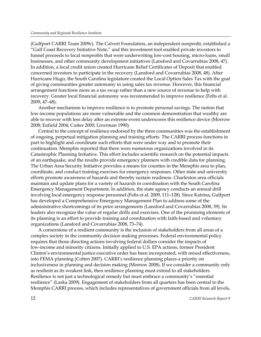(Gulfport CARRI Team 2009c). The Calvert Foundation, an independent nonprofit, established a "Gulf Coast Recovery Initiative Note," and this investment tool enabled private investors to funnel proceeds to local nonprofits that were underwriting low-cost housing, micro-loans, small businesses, and other community development initiatives (Lansford and Covarrubias 2008, 47). In addition, a local credit union created Hurricane Relief Certificates of Deposit that enabled concerned investors to participate in the recovery (Lansford and Covarrubias 2008, 48). After Hurricane Hugo, the South Carolina legislature created the Local Option Sales Tax with the goal of giving communities greater autonomy in using sales tax revenue. However, this financial arrangement functions more as a tax swap rather than a new source of revenue to help with recovery. Greater local financial autonomy was recommended to improve resilience (Felts et al. 2009, 47–48).

Another mechanism to improve resilience is to promote personal savings. The notion that low-income populations are more vulnerable and the common demonstration that wealthy are able to recover with less delay after an extreme event underscores this resilience device (Morrow 2008; Enfield 2004; Cutter 2000; Liverman 1990).

Central to the concept of resilience endorsed by the three communities was the establishment of ongoing, perpetual mitigation planning and training efforts. The CARRI process functions in part to highlight and coordinate such efforts that were under way and to promote their continuation. Memphis reported that there were numerous organizations involved in its Catastrophic Planning Initiative. This effort includes scientific research on the potential impacts of an earthquake, and the results provide emergency planners with credible data for planning. The Urban Area Security Initiative provides a means for counties in the Memphis area to plan, coordinate, and conduct training exercises for emergency responses. Other state and university efforts promote awareness of hazards and thereby sustain readiness. Charleston area officials maintain and update plans for a variety of hazards in coordination with the South Carolina Emergency Management Department. In addition, the state agency conducts an annual drill involving local emergency response personnel (Felts et al. 2009, 111–128). Since Katrina, Gulfport has developed a Comprehensive Emergency Management Plan to address some of the administrative shortcomings of its prior arrangements (Lansford and Covarrubias 2008, 39). Its leaders also recognize the value of regular drills and exercises. One of the promising elements of its planning is an effort to provide training and coordination with faith-based and voluntary organizations (Lansford and Covarrubias 2008, 73–74).

A cornerstone of a resilient community is the inclusion of stakeholders from all areas of a complex society in the community decision making processes. Federal environmental policy requires that those directing actions involving federal dollars consider the impacts of low-income and minority citizens. Initially applied to U.S. EPA actions, former President Clinton's environmental justice executive order has been incorporated, with mixed effectiveness, into FEMA planning (Colten 2007). CARRI's resilience planning places a priority on inclusiveness in planning and decision making (Morrow 2008). If we consider a community only as resilient as its weakest link, then resilience planning must extend to all stakeholders. Resilience is not just a technological remedy but must embrace a community's "essential resilience" (Laska 2009). Engagement of stakeholders from all quarters has been central to the Memphis CARRI process, which includes representatives of government officials from all levels,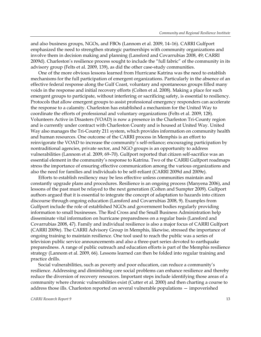and also business groups, NGOs, and FBOs (Lannom et al. 2009, 14–16). CARRI Gulfport emphasized the need to strengthen strategic partnerships with community organizations and involve them in decision making and planning (Lansford and Covarrubias 2008, 49; CARRI 2009d). Charleston's resilience process sought to include the "full fabric" of the community in its advisory group (Felts et al. 2009, 139), as did the other case-study communities.

One of the more obvious lessons learned from Hurricane Katrina was the need to establish mechanisms for the full participation of emergent organizations. Particularly in the absence of an effective federal response along the Gulf Coast, voluntary and spontaneous groups filled many voids in the response and initial recovery efforts (Colten et al. 2008). Making a place for such emergent groups to participate, without interfering or sacrificing safety, is essential to resiliency. Protocols that allow emergent groups to assist professional emergency responders can accelerate the response to a calamity. Charleston has established a mechanism for the United Way to coordinate the efforts of professional and voluntary organizations (Felts et al. 2009, 128). Volunteers Active in Disasters (VOAD) is now a presence in the Charleston Tri-County region and is currently under contract with Charleston County and is housed at United Way. United Way also manages the Tri-County 211 system, which provides information on community health and human resources. One outcome of the CARRI process in Memphis is an effort to reinvigorate the VOAD to increase the community's self-reliance; encouraging participation by nontraditional agencies, private sector, and NGO groups is an opportunity to address vulnerabilities (Lannom et al. 2009, 69–70). Gulfport reported that citizen self-sacrifice was an essential element in the community's response to Katrina. Two of the CARRI Gulfport roadmaps stress the importance of ensuring effective communication among the various organizations and also the need for families and individuals to be self-reliant (CARRI 2009d and 2009e).

Efforts to establish resiliency may be less effective unless communities maintain and constantly upgrade plans and procedures. Resilience is an ongoing process (Manyena 2006), and lessons of the past must be relayed to the next generation (Colten and Sumpter 2009). Gulfport authors argued that it is essential to integrate the concept of adaptation to hazards into citizen discourse through ongoing education (Lansford and Covarrubias 2008, 9). Examples from Gulfport include the role of established NGOs and government bodies regularly providing information to small businesses. The Red Cross and the Small Business Administration help disseminate vital information on hurricane preparedness on a regular basis (Lansford and Covarrubias 2008, 47). Family and individual resilience is also a major focus of CARRI Gulfport (CARRI 2009e). The CARRI Advisory Group in Memphis, likewise, stressed the importance of ongoing training to maintain resilience. One tool used to reach the public was a series of television public service announcements and also a three-part series devoted to earthquake preparedness. A range of public outreach and education efforts is part of the Memphis resilience strategy (Lannom et al. 2009, 66). Lessons learned can then be folded into regular training and practice drills.

Social vulnerabilities, such as poverty and poor education, can reduce a community's resilience. Addressing and diminishing core social problems can enhance resilience and thereby reduce the diversion of recovery resources. Important steps include identifying those areas of a community where chronic vulnerabilities exist (Cutter et al. 2000) and then charting a course to address those ills. Charleston reported on several vulnerable populations — impoverished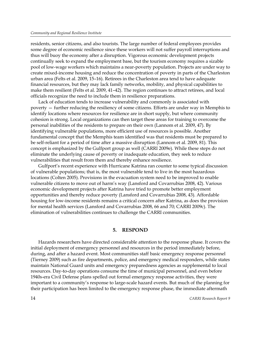residents, senior citizens, and also tourists. The large number of federal employees provides some degree of economic resilience since these workers will not suffer payroll interruptions and thus will buoy the economy after a disruption. Vigorous economic development projects continually seek to expand the employment base, but the tourism economy requires a sizable pool of low-wage workers which maintains a near-poverty population. Projects are under way to create mixed-income housing and reduce the concentration of poverty in parts of the Charleston urban area (Felts et al. 2009, 15–16). Retirees in the Charleston area tend to have adequate financial resources, but they may lack family networks, mobility, and physical capabilities to make them resilient (Felts et al. 2009, 41–42). The region continues to attract retirees, and local officials recognize the need to include them in resilience preparations.

Lack of education tends to increase vulnerability and commonly is associated with poverty — further reducing the resiliency of some citizens. Efforts are under way in Memphis to identify locations where resources for resilience are in short supply, but where community cohesion is strong. Local organizations can then target these areas for training to overcome the personal inabilities of the residents to prepare on their own (Lannom et al. 2009, 47). By identifying vulnerable populations, more efficient use of resources is possible. Another fundamental concept that the Memphis team identified was that residents must be prepared to be self-reliant for a period of time after a massive disruption (Lannom et al. 2009, 81). This concept is emphasized by the Gulfport group as well (CARRI 2009e). While these steps do not eliminate the underlying cause of poverty or inadequate education, they seek to reduce vulnerabilities that result from them and thereby enhance resilience.

Gulfport's recent experience with Hurricane Katrina ran counter to some typical discussion of vulnerable populations; that is, the most vulnerable tend to live in the most hazardous locations (Colten 2005). Provisions in the evacuation system need to be improved to enable vulnerable citizens to move out of harm's way (Lansford and Covarrubias 2008, 42). Various economic development projects after Katrina have tried to promote better employment opportunities and thereby reduce poverty (Lansford and Covarrubias 2008, 43). Affordable housing for low-income residents remains a critical concern after Katrina, as does the provision for mental health services (Lansford and Covarrubias 2008, 66 and 70; CARRI 2009c). The elimination of vulnerabilities continues to challenge the CARRI communities.

#### **5. RESPOND**

Hazards researchers have directed considerable attention to the response phase. It covers the initial deployment of emergency personnel and resources in the period immediately before, during, and after a hazard event. Most communities staff basic emergency response personnel (Tierney 2009) such as fire departments, police, and emergency medical responders, while states maintain National Guard units and emergency preparedness agencies as supplemental to local resources. Day-to-day operations consume the time of municipal personnel, and even before 1940s-era Civil Defense plans spelled out formal emergency response activities, they were important to a community's response to large-scale hazard events. But much of the planning for their participation has been limited to the emergency response phase, the immediate aftermath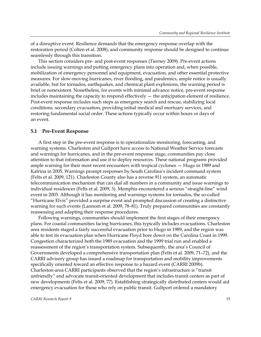of a disruptive event. Resilience demands that the emergency response overlap with the restoration period (Colten et al. 2008), and community response should be designed to continue seamlessly through this transition.

This section considers pre- and post-event responses (Tierney 2009). Pre-event actions include issuing warnings and putting emergency plans into operation and, when possible, mobilization of emergency personnel and equipment, evacuation, and other essential protective measures. For slow-moving hurricanes, river flooding, and pandemics, ample notice is usually available, but for tornados, earthquakes, and chemical plant explosions, the warning period is brief or nonexistent. Nonetheless, for events with minimal advance notice, pre-event response includes maintaining the capacity to respond effectively — the anticipation element of resilience. Post-event response includes such steps as emergency search and rescue, stabilizing local conditions, secondary evacuation, providing initial medical and mortuary services, and restoring fundamental social order. These actions typically occur within hours or days of an event.

#### **5.1 Pre-Event Response**

A first step in the pre-event response is to operationalize monitoring, forecasting, and warning systems. Charleston and Gulfport have access to National Weather Service forecasts and warnings for hurricanes, and in the pre-event response stage, communities pay close attention to that information and use it to deploy resources. These national programs provided ample warning for their most recent encounters with tropical cyclones — Hugo in 1989 and Katrina in 2005. Warnings prompt responses by South Carolina's incident command system (Felts et al. 2009, 121). Charleston County also has a reverse 911 system, an automatic telecommunication mechanism that can dial all numbers in a community and issue warnings to individual residences (Felts et al. 2009, 3). Memphis encountered a serious "straight-line" wind event in 2003. Although it has monitoring and warnings systems for tornados, the so-called "Hurricane Elvis" provided a surprise event and prompted discussion of creating a distinctive warning for such events (Lannom et al. 2009, 78–81). Truly prepared communities are constantly reassessing and adapting their response procedures.

Following warnings, communities should implement the first stages of their emergency plans. For coastal communities facing hurricanes, this typically includes evacuations. Charleston area residents staged a fairly successful evacuation prior to Hugo in 1989, and the region was able to test its evacuation plan when Hurricane Floyd bore down on the Carolina Coast in 1999. Congestion characterized both the 1989 evacuation and the 1999 trial run and enabled a reassessment of the region's transportation system. Subsequently, the area's Council of Governments developed a comprehensive transportation plan (Felts et al. 2009, 71–72), and the CARRI advisory group has issued a roadmap for transportation and mobility improvements specifically oriented toward an effective response to a hazard event (CARRI 2009b). Charleston-area CARRI participants observed that the region's infrastructure is "transit unfriendly" and advocate transit-oriented development that includes transit centers as part of new developments (Felts et al. 2009, 77). Establishing strategically distributed centers would aid emergency evacuation for those who rely on public transit. Gulfport ordered a mandatory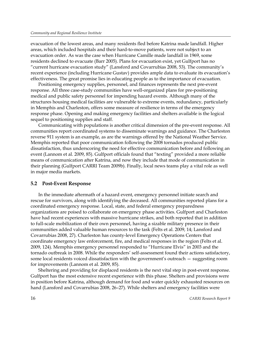evacuation of the lowest areas, and many residents fled before Katrina made landfall. Higher areas, which included hospitals and their hard-to-move patients, were not subject to an evacuation order. As was the case when Hurricane Camille made landfall in 1969, some residents declined to evacuate (Barr 2005). Plans for evacuation exist, yet Gulfport has no "current hurricane evacuation study" (Lansford and Covarrubias 2008, 53). The community's recent experience (including Hurricane Gustav) provides ample data to evaluate its evacuation's effectiveness. The great promise lies in educating people as to the importance of evacuation.

Positioning emergency supplies, personnel, and finances represents the next pre-event response. All three case-study communities have well-organized plans for pre-positioning medical and public safety personnel for impending hazard events. Although many of the structures housing medical facilities are vulnerable to extreme events, redundancy, particularly in Memphis and Charleston, offers some measure of resilience in terms of the emergency response phase. Opening and making emergency facilities and shelters available is the logical sequel to positioning supplies and staff.

Communicating with populations is another critical dimension of the pre-event response. All communities report coordinated systems to disseminate warnings and guidance. The Charleston reverse 911 system is an example, as are the warnings offered by the National Weather Service. Memphis reported that poor communication following the 2008 tornados produced public dissatisfaction, thus underscoring the need for effective communication before and following an event (Lannom et al. 2009, 85). Gulfport officials found that "texting" provided a more reliable means of communication after Katrina, and now they include that mode of communication in their planning (Gulfport CARRI Team 2009b). Finally, local news teams play a vital role as well in major media markets.

#### **5.2 Post-Event Response**

In the immediate aftermath of a hazard event, emergency personnel initiate search and rescue for survivors, along with identifying the deceased. All communities reported plans for a coordinated emergency response. Local, state, and federal emergency preparedness organizations are poised to collaborate on emergency phase activities. Gulfport and Charleston have had recent experiences with massive hurricane strikes, and both reported that in addition to full-scale mobilization of their own personnel, having a sizable military presence in their communities added valuable human resources to the task (Felts et al. 2009, 14; Lansford and Covarrubias 2008, 27). Charleston has county-level Emergency Operations Centers that coordinate emergency law enforcement, fire, and medical responses in the region (Felts et al. 2009, 124). Memphis emergency personnel responded to "Hurricane Elvis" in 2003 and the tornado outbreak in 2008. While the responders' self-assessment found their actions satisfactory, some local residents voiced dissatisfaction with the government's outreach — suggesting room for improvements (Lannom et al. 2009, 85).

Sheltering and providing for displaced residents is the next vital step in post-event response. Gulfport has the most extensive recent experience with this phase. Shelters and provisions were in position before Katrina, although demand for food and water quickly exhausted resources on hand (Lansford and Covarrubias 2008, 26–27). While shelters and emergency facilities were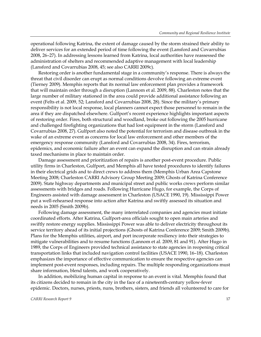operational following Katrina, the extent of damage caused by the storm strained their ability to deliver services for an extended period of time following the event (Lansford and Covarrubias 2008, 26–27). In addressing lessons learned from Katrina, local authorities have reassessed the administration of shelters and recommended adaptive management with local leadership (Lansford and Covarrubias 2008, 45; see also CARRI 2009c).

Restoring order is another fundamental stage in a community's response. There is always the threat that civil disorder can erupt as normal conditions devolve following an extreme event (Tierney 2009). Memphis reports that its normal law enforcement plan provides a framework that will maintain order through a disruption (Lannom et al. 2009, 88). Charleston notes that the large number of military stationed in the area could provide additional assistance following an event (Felts et al. 2009, 52; Lansford and Covarrubias 2008, 28). Since the military's primary responsibility is not local response, local planners cannot expect those personnel to remain in the area if they are dispatched elsewhere. Gulfport's recent experience highlights important aspects of restoring order. Fires, both structural and woodland, broke out following the 2005 hurricane and challenged firefighting organizations that had lost equipment in the storm (Lansford and Covarrubias 2008, 27). Gulfport also noted the potential for terrorism and disease outbreak in the wake of an extreme event as concerns for local law enforcement and other members of the emergency response community (Lansford and Covarrubias 2008, 34). Fires, terrorism, epidemics, and economic failure after an event can expand the disruption and can strain already taxed mechanisms in place to maintain order.

Damage assessment and prioritization of repairs is another post-event procedure. Public utility firms in Charleston, Gulfport, and Memphis all have tested procedures to identify failures in their electrical grids and to direct crews to address them (Memphis Urban Area Capstone Meeting 2008; Charleston CARRI Advisory Group Meeting 2009; Ghosts of Katrina Conference 2009). State highway departments and municipal street and public works crews perform similar assessments with bridges and roads. Following Hurricane Hugo, for example, the Corps of Engineers assisted with damage assessment in Charleston (USACE 1990, 19). Mississippi Power put a well-rehearsed response into action after Katrina and swiftly assessed its situation and needs in 2005 (Smith 2009b).

Following damage assessment, the many interrelated companies and agencies must initiate coordinated efforts. After Katrina, Gulfport-area officials sought to open main arteries and swiftly restore energy supplies. Mississippi Power was able to deliver electricity throughout its service territory ahead of its initial projections (Ghosts of Katrina Conference 2009; Smith 2009b). Plans for the Memphis utilities, airport, and port incorporate resiliency into their strategies to mitigate vulnerabilities and to resume functions (Lannom et al. 2009, 81 and 91). After Hugo in 1989, the Corps of Engineers provided technical assistance to state agencies in reopening critical transportation links that included navigation control facilities (USACE 1990, 16–18). Charleston emphasizes the importance of effective communication to ensure the respective agencies can implement post-event responses, including repairs. The multiple responding organizations must share information, blend talents, and work cooperatively.

In addition, mobilizing human capital in response to an event is vital. Memphis found that its citizens decided to remain in the city in the face of a nineteenth-century yellow-fever epidemic. Doctors, nurses, priests, nuns, brothers, sisters, and friends all volunteered to care for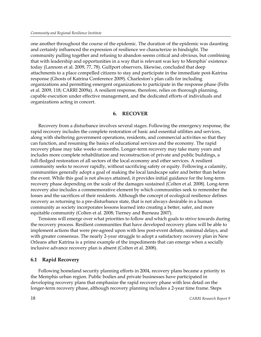one another throughout the course of the epidemic. The duration of the epidemic was daunting and certainly influenced the expression of resilience we characterize in hindsight. The community pulling together and refusing to abandon seems critical and obvious, but combining that with leadership and opportunities in a way that is relevant was key to Memphis' existence today (Lannom et al. 2009, 77, 78). Gulfport observers, likewise, concluded that deep attachments to a place compelled citizens to stay and participate in the immediate post-Katrina response (Ghosts of Katrina Conference 2009). Charleston's plan calls for including organizations and permitting emergent organizations to participate in the response phase (Felts et al. 2009, 118; CARRI 2009a). A resilient response, therefore, relies on thorough planning, capable execution under effective management, and the dedicated efforts of individuals and organizations acting in concert.

#### **6. RECOVER**

Recovery from a disturbance involves several stages. Following the emergency response, the rapid recovery includes the complete restoration of basic and essential utilities and services, along with sheltering government operations, residents, and commercial activities so that they can function, and resuming the basics of educational services and the economy. The rapid recovery phase may take weeks or months. Longer-term recovery may take many years and includes more complete rehabilitation and reconstruction of private and public buildings, a full-fledged restoration of all sectors of the local economy and other services. A resilient community seeks to recover rapidly, without sacrificing safety or equity. Following a calamity, communities generally adopt a goal of making the local landscape safer and better than before the event. While this goal is not always attained, it provides initial guidance for the long-term recovery phase depending on the scale of the damages sustained (Colten et al. 2008). Long-term recovery also includes a commemorative element by which communities seek to remember the losses and the sacrifices of their residents. Although the concept of ecological resilience defines recovery as returning to a pre-disturbance state, that is not always desirable in a human community as society incorporates lessons learned into creating a better, safer, and more equitable community (Colten et al. 2008; Tierney and Burneau 2007).

Tensions will emerge over what priorities to follow and which goals to strive towards during the recovery process. Resilient communities that have developed recovery plans will be able to implement actions that were pre-agreed upon with less post-event debate, minimal delays, and with greater consensus. The nearly 2-year struggle to adopt a satisfactory recovery plan in New Orleans after Katrina is a prime example of the impediments that can emerge when a socially inclusive advance recovery plan is absent (Colten et al. 2008).

### **6.1 Rapid Recovery**

Following homeland security planning efforts in 2004, recovery plans became a priority in the Memphis urban region. Public bodies and private businesses have participated in developing recovery plans that emphasize the rapid recovery phase with less detail on the longer-term recovery phase, although recovery planning includes a 2-year time frame. Steps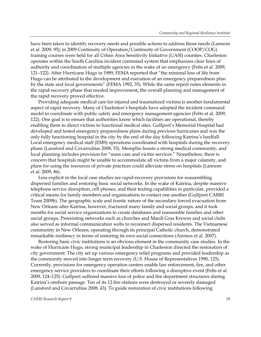have been taken to identify recovery needs and possible actions to address those needs (Lannom et al. 2009, 95); in 2009 Continuity of Operation/Continuity of Government (COOP/COG) training courses were held for all Urban Area Sensitivity Initiative (UASI) counties. Charleston operates within the South Carolina incident command system that emphasizes clear lines of authority and coordination of multiple agencies in the wake of an emergency (Felts et al. 2009, 121–122). After Hurricane Hugo in 1989, FEMA reported that "the minimal loss of life from Hugo can be attributed to the development and execution of an emergency preparedness plan by the state and local governments" (FEMA 1992, 35). While the same report notes elements in the rapid-recovery phase that needed improvement, the overall planning and management of the rapid recovery proved effective.

Providing adequate medical care for injured and traumatized victims is another fundamental aspect of rapid recovery. Many of Charleston's hospitals have adopted the incident command model to coordinate with public safety and emergency management agencies (Felts et al. 2009, 122). One goal is to ensure that authorities know which facilities are operational, thereby enabling them to direct victims to functional medical sites. Gulfport's Memorial Hospital had developed and tested emergency preparedness plans during previous hurricanes and was the only fully functioning hospital in the city by the end of the day following Katrina's landfall. Local emergency medical staff (EMS) operations coordinated with hospitals during the recovery phase (Lansford and Covarrubias 2008, 53). Memphis boasts a strong medical community, and local planning includes provision for "mass care and victim services." Nonetheless, there is concern that hospitals might be unable to accommodate all victims from a major calamity, and plans for using the resources of private practices could alleviate stress on hospitals (Lannom et al. 2009, 86).

Less explicit in the local case studies are rapid-recovery provisions for reassembling dispersed families and restoring basic social networks. In the wake of Katrina, despite massive telephone service disruption, cell phones, and their texting capabilities in particular, provided a critical means for family members and organizations to contact one another (Gulfport CARRI Team 2009b). The geographic scale and frantic nature of the secondary forced evacuation from New Orleans after Katrina, however, fractured many family and social groups, and it took months for social service organizations to create databases and reassemble families and other social groups. Preexisting networks such as churches and Mardi Gras Krewes and social clubs also served as informal communication webs to reconnect dispersed residents. The Vietnamese community in New Orleans, operating through its principal Catholic church, demonstrated remarkable resiliency in terms of restoring its own social connections (Airriess et al. 2007).

Restoring basic civic institutions is an obvious element in the community case studies. In the wake of Hurricane Hugo, strong municipal leadership in Charleston directed the restoration of city government. The city set up various emergency relief programs and provided leadership as the community moved into longer term recovery (U.S. House of Representatives 1990, 125). Currently, provisions for emergency operation centers enable law enforcement, fire, and other emergency service providers to coordinate their efforts following a disruptive event (Felts et al. 2009, 124–125). Gulfport suffered massive loss of police and fire department structures during Katrina's onshore passage. Ten of its 12 fire stations were destroyed or severely damaged (Lansford and Covarrubias 2008, 43). To guide restoration of civic institutions following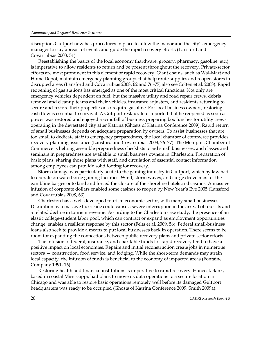disruption, Gulfport now has procedures in place to allow the mayor and the city's emergency manager to stay abreast of events and guide the rapid recovery efforts (Lansford and Covarrubias 2008, 51).

Reestablishing the basics of the local economy (hardware, grocery, pharmacy, gasoline, etc.) is imperative to allow residents to return and be present throughout the recovery. Private-sector efforts are most prominent in this element of rapid recovery. Giant chains, such as Wal-Mart and Home Depot, maintain emergency planning groups that help route supplies and reopen stores in disrupted areas (Lansford and Covarrubias 2008, 62 and 76–77; also see Colten et al. 2008). Rapid reopening of gas stations has emerged as one of the most critical functions. Not only are emergency vehicles dependent on fuel, but the massive utility and road repair crews, debris removal and cleanup teams and their vehicles, insurance adjusters, and residents returning to secure and restore their properties also require gasoline. For local business owners, restoring cash flow is essential to survival. A Gulfport restaurateur reported that he reopened as soon as power was restored and enjoyed a windfall of business preparing box lunches for utility crews operating in the devastated city after Katrina (Ghosts of Katrina Conference 2009). Rapid return of small businesses depends on adequate preparation by owners. To assist businesses that are too small to dedicate staff to emergency preparedness, the local chamber of commerce provides recovery planning assistance (Lansford and Covarrubias 2008, 76–77). The Memphis Chamber of Commerce is helping assemble preparedness checklists to aid small businesses, and classes and seminars in preparedness are available to small business owners in Charleston. Preparation of basic plans, sharing those plans with staff, and circulation of essential contact information among employees can provide solid footing for recovery.

Storm damage was particularly acute to the gaming industry in Gulfport, which by law had to operate on waterborne gaming facilities. Wind, storm waves, and surge drove most of the gambling barges onto land and forced the closure of the shoreline hotels and casinos. A massive infusion of corporate dollars enabled some casinos to reopen by New Year's Eve 2005 (Lansford and Covarrubias 2008, 63).

Charleston has a well-developed tourism economic sector, with many small businesses. Disruption by a massive hurricane could cause a severe interruption in the arrival of tourists and a related decline in tourism revenue. According to the Charleston case study, the presence of an elastic college-student labor pool, which can contract or expand as employment opportunities change, enables a resilient response by this sector (Felts et al. 2009, 56). Federal small-business loans also seek to provide a means to put local businesses back in operation. There seems to be room for expanding the connections between public recovery plans and private sector efforts.

The infusion of federal, insurance, and charitable funds for rapid recovery tend to have a positive impact on local economies. Repairs and initial reconstruction create jobs in numerous sectors — construction, food service, and lodging. While the short-term demands may strain local capacity, the infusion of funds is beneficial to the economy of impacted areas (Fontaine Company 1991, 16).

Restoring health and financial institutions is imperative to rapid recovery. Hancock Bank, based in coastal Mississippi, had plans to move its data operations to a secure location in Chicago and was able to restore basic operations remotely well before its damaged Gulfport headquarters was ready to be occupied (Ghosts of Katrina Conference 2009; Smith 2009a).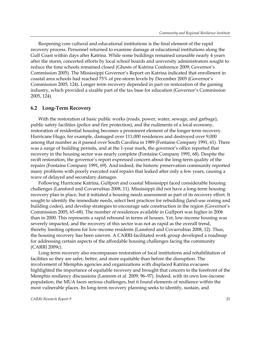Reopening core cultural and educational institutions is the final element of the rapid recovery process. Personnel returned to examine damage at educational institutions along the Gulf Coast within days after Katrina. While some buildings remained unusable nearly 4 years after the storm, concerted efforts by local school boards and university administrators sought to reduce the time schools remained closed (Ghosts of Katrina Conference 2009; Governor's Commission 2005). The Mississippi Governor's Report on Katrina indicated that enrollment in coastal area schools had reached 75% of pre-storm levels by December 2005 (Governor's Commission 2005, 124). Longer term recovery depended in part on restoration of the gaming industry, which provided a sizable part of the tax base for education (Governor's Commission 2005, 124).

### **6.2 Long-Term Recovery**

With the restoration of basic public works (roads, power, water, sewage, and garbage), public safety facilities (police and fire protection), and the rudiments of a local economy, restoration of residential housing becomes a prominent element of the longer term recovery. Hurricane Hugo, for example, damaged over 111,000 residences and destroyed over 9,000 among that number as it passed over South Carolina in 1989 (Fontaine Company 1991, 61). There was a surge of building permits, and at the 1-year mark, the governor's office reported that recovery in the housing sector was nearly complete (Fontaine Company 1991, 68). Despite the swift restoration, the governor's report expressed concern about the long-term quality of the repairs (Fontaine Company 1991, 69). And indeed, the historic preservation community reported many problems with poorly executed roof repairs that leaked after only a few years, causing a wave of delayed and secondary damages.

Following Hurricane Katrina, Gulfport and coastal Mississippi faced considerable housing challenges (Lansford and Covarrubias 2008, 11). Mississippi did not have a long-term housing recovery plan in place, but it initiated a housing needs assessment as part of its recovery effort. It sought to identify the immediate needs, select best practices for rebuilding (land-use zoning and building codes), and develop strategies to encourage safe construction in the region (Governor's Commission 2005, 65–68). The number of residences available in Gulfport was higher in 2006 than in 2000. This represents a rapid rebound in terms of houses. Yet, low-income housing was severely impacted, and the recovery of this sector was not as rapid as the overall trend, thereby limiting options for low-income residents (Lansford and Covarrubias 2008, 12). Thus, the housing recovery has been uneven. A CARRI-facilitated work group developed a roadmap for addressing certain aspects of the affordable housing challenges facing the community (CARRI 2009c).

Long-term recovery also encompasses restoration of local institutions and rehabilitation of facilities so they are safer, better, and more equitable than before the disruption. The involvement of Memphis agencies and organizations with displaced Katrina evacuees highlighted the importance of equitable recovery and brought that concern to the forefront of the Memphis resiliency discussions (Lannom et al. 2009, 96–97). Indeed, with its own low-income population, the MUA faces serious challenges, but it found elements of resilience within the most vulnerable places. Its long-term recovery planning seeks to identify, sustain, and

#### *CARRI Research Report 9* 21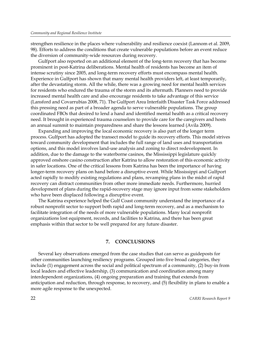strengthen resilience in the places where vulnerability and resilience coexist (Lannom et al. 2009, 98). Efforts to address the conditions that create vulnerable populations before an event reduce the diversion of community-wide resources during recovery.

Gulfport also reported on an additional element of the long-term recovery that has become prominent in post-Katrina deliberations. Mental health of residents has become an item of intense scrutiny since 2005, and long-term recovery efforts must encompass mental health. Experience in Gulfport has shown that many mental health providers left, at least temporarily, after the devastating storm. All the while, there was a growing need for mental health services for residents who endured the trauma of the storm and its aftermath. Planners need to provide increased mental health care and also encourage residents to take advantage of this service (Lansford and Covarrubias 2008, 71). The Gulfport Area Interfaith Disaster Task Force addressed this pressing need as part of a broader agenda to serve vulnerable populations. The group coordinated FBOs that desired to lend a hand and identified mental health as a critical recovery need. It brought in experienced trauma counselors to provide care for the caregivers and hosts an annual summit to maintain preparedness and share the lessons learned (Avila 2009).

Expanding and improving the local economic recovery is also part of the longer term process. Gulfport has adopted the transect model to guide its recovery efforts. This model strives toward community development that includes the full range of land uses and transportation options, and this model involves land-use analysis and zoning to direct redevelopment. In addition, due to the damage to the waterborne casinos, the Mississippi legislature quickly approved onshore casino construction after Katrina to allow restoration of this economic activity in safer locations. One of the critical lessons from Katrina has been the importance of having longer-term recovery plans on hand before a disruptive event. While Mississippi and Gulfport acted rapidly to modify existing regulations and plans, revamping plans in the midst of rapid recovery can distract communities from other more immediate needs. Furthermore, hurried development of plans during the rapid-recovery stage may ignore input from some stakeholders who have been displaced following a disruptive event.

The Katrina experience helped the Gulf Coast community understand the importance of a robust nonprofit sector to support both rapid and long-term recovery, and as a mechanism to facilitate integration of the needs of more vulnerable populations. Many local nonprofit organizations lost equipment, records, and facilities to Katrina, and there has been great emphasis within that sector to be well prepared for any future disaster.

### **7. CONCLUSIONS**

Several key observations emerged from the case studies that can serve as guideposts for other communities launching resiliency programs. Grouped into five broad categories, they include (1) engagement across the social and political spectrum of a community, (2) buy-in from local leaders and effective leadership, (3) communication and coordination among many interdependent organizations, (4) ongoing preparation and training that extends from anticipation and reduction, through response, to recovery, and (5) flexibility in plans to enable a more agile response to the unexpected.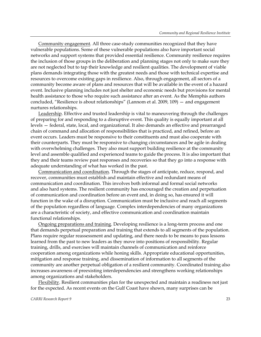Community engagement. All three case-study communities recognized that they have vulnerable populations. Some of these vulnerable populations also have important social networks and support systems that provided essential resilience. Community resilience requires the inclusion of those groups in the deliberation and planning stages not only to make sure they are not neglected but to tap their knowledge and resilient qualities. The development of viable plans demands integrating those with the greatest needs and those with technical expertise and resources to overcome existing gaps in resilience. Also, through engagement, all sectors of a community become aware of plans and resources that will be available in the event of a hazard event. Inclusive planning includes not just shelter and economic needs but provisions for mental health assistance to those who require such assistance after an event. As the Memphis authors concluded, "Resilience is about relationships" (Lannom et al. 2009, 109) — and engagement nurtures relationships.

Leadership. Effective and trusted leadership is vital to maneuvering through the challenges of preparing for and responding to a disruptive event. This quality is equally important at all levels — federal, state, local, and organizational. It also demands an effective and prearranged chain of command and allocation of responsibilities that is practiced, and refined, before an event occurs. Leaders must be responsive to their constituents and must also cooperate with their counterparts. They must be responsive to changing circumstances and be agile in dealing with overwhelming challenges. They also must support building resilience at the community level and assemble qualified and experienced teams to guide the process. It is also important that they and their teams review past responses and recoveries so that they go into a response with adequate understanding of what has worked in the past.

Communication and coordination. Through the stages of anticipate, reduce, respond, and recover, communities must establish and maintain effective and redundant means of communication and coordination. This involves both informal and formal social networks and also hard systems. The resilient community has encouraged the creation and perpetuation of communication and coordination before an event and, in doing so, has ensured it will function in the wake of a disruption. Communication must be inclusive and reach all segments of the population regardless of language. Complex interdependencies of many organizations are a characteristic of society, and effective communication and coordination maintain functional relationships.

Ongoing preparations and training. Developing resilience is a long-term process and one that demands perpetual preparation and training that extends to all segments of the population. Plans require regular reassessment and updating, and there needs to be means to pass lessons learned from the past to new leaders as they move into positions of responsibility. Regular training, drills, and exercises will maintain channels of communication and reinforce cooperation among organizations while honing skills. Appropriate educational opportunities, mitigation and response training, and dissemination of information to all segments of the community are another perpetual obligation of a resilient community. Coordinated training also increases awareness of preexisting interdependencies and strengthens working relationships among organizations and stakeholders.

Flexibility. Resilient communities plan for the unexpected and maintain a readiness not just for the expected. As recent events on the Gulf Coast have shown, many surprises can be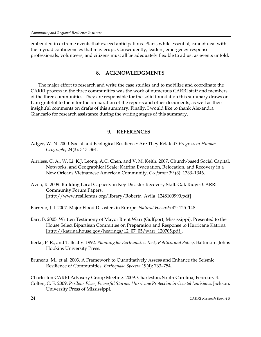embedded in extreme events that exceed anticipations. Plans, while essential, cannot deal with the myriad contingencies that may erupt. Consequently, leaders, emergency-response professionals, volunteers, and citizens must all be adequately flexible to adjust as events unfold.

# **8. ACKNOWLEDGMENTS**

The major effort to research and write the case studies and to mobilize and coordinate the CARRI process in the three communities was the work of numerous CARRI staff and members of the three communities. They are responsible for the solid foundation this summary draws on. I am grateful to them for the preparation of the reports and other documents, as well as their insightful comments on drafts of this summary. Finally, I would like to thank Alexandra Giancarlo for research assistance during the writing stages of this summary.

# **9. REFERENCES**

- Adger, W. N. 2000. Social and Ecological Resilience: Are They Related? *Progress in Human Geography* 24(3): 347–364.
- Airriess, C. A., W. Li, K.J. Leong, A.C. Chen, and V. M. Keith. 2007. Church-based Social Capital, Networks, and Geographical Scale: Katrina Evacuation, Relocation, and Recovery in a New Orleans Vietnamese American Community. *Geoforum* 39 (3): 1333–1346.
- Avila, R. 2009. Building Local Capacity in Key Disaster Recovery Skill. Oak Ridge: CARRI Community Forum Papers. [http://www.resilientus.org/library/Roberta\_Avila\_1248100990.pdf]
- Barredo, J. I. 2007. Major Flood Disasters in Europe. *Natural Hazards* 42: 125–148.
- Barr, B. 2005. Written Testimony of Mayor Brent Warr (Gulfport, Mississippi). Presented to the House Select Bipartisan Committee on Preparation and Response to Hurricane Katrina [http://katrina.house.gov/hearings/12\_07\_05/warr\_120705.pdf].
- Berke, P. R., and T. Beatly. 1992. *Planning for Earthquakes: Risk, Politics, and Policy*. Baltimore: Johns Hopkins University Press.
- Bruneau. M., et al. 2003. A Framework to Quantitatively Assess and Enhance the Seismic Resilience of Communities. *Earthquake Spectra* 19(4): 733–754.

Charleston CARRI Advisory Group Meeting. 2009. Charleston, South Carolina, February 4. Colten, C. E. 2009. *Perilous Place, Powerful Storms: Hurricane Protection in Coastal Louisiana*. Jackson: University Press of Mississippi.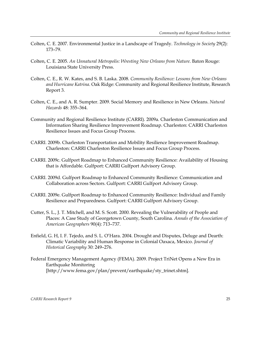- Colten, C. E. 2007. Environmental Justice in a Landscape of Tragedy. *Technology in Society* 29(2): 173–79.
- Colten, C. E. 2005. *An Unnatural Metropolis: Wresting New Orleans from Nature*. Baton Rouge: Louisiana State University Press.
- Colten, C. E., R. W. Kates, and S. B. Laska. 2008. *Community Resilience: Lessons from New Orleans and Hurricane Katrina*. Oak Ridge: Community and Regional Resilience Institute, Research Report 3.
- Colten, C. E., and A. R. Sumpter. 2009. Social Memory and Resilience in New Orleans. *Natural Hazards* 48: 355–364.
- Community and Regional Resilience Institute (CARRI). 2009a. Charleston Communication and Information Sharing Resilience Improvement Roadmap. Charleston: CARRI Charleston Resilience Issues and Focus Group Process.
- CARRI. 2009b. Charleston Transportation and Mobility Resilience Improvement Roadmap. Charleston: CARRI Charleston Resilience Issues and Focus Group Process.
- CARRI. 2009c. Gulfport Roadmap to Enhanced Community Resilience: Availability of Housing that is Affordable. Gulfport: CARRI Gulfport Advisory Group.
- CARRI. 2009d. Gulfport Roadmap to Enhanced Community Resilience: Communication and Collaboration across Sectors. Gulfport: CARRI Gulfport Advisory Group.
- CARRI. 2009e. Gulfport Roadmap to Enhanced Community Resilience: Individual and Family Resilience and Preparedness. Gulfport: CARRI Gulfport Advisory Group.
- Cutter, S. L., J. T. Mitchell, and M. S. Scott. 2000. Revealing the Vulnerability of People and Places: A Case Study of Georgetown County, South Carolina. *Annals of the Association of American Geographers* 90(4): 713–737.
- Enfield, G. H, I. F. Tejedo, and S. L. O'Hara. 2004. Drought and Disputes, Deluge and Dearth: Climatic Variability and Human Response in Colonial Oaxaca, Mexico. *Journal of Historical Geography* 30: 249–276.
- Federal Emergency Management Agency (FEMA). 2009. Project TriNet Opens a New Era in Earthquake Monitoring [http://www.fema.gov/plan/prevent/earthquake/sty\_trinet.shtm].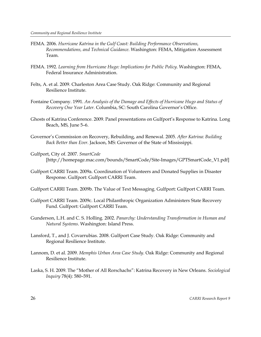- FEMA. 2006. *Hurricane Katrina in the Gulf Coast: Building Performance Observations, Recommendations, and Technical Guidance*. Washington: FEMA, Mitigation Assessment Team.
- FEMA. 1992. *Learning from Hurricane Hugo: Implications for Public Policy*. Washington: FEMA, Federal Insurance Administration.
- Felts, A. et al. 2009. Charleston Area Case Study. Oak Ridge: Community and Regional Resilience Institute.
- Fontaine Company. 1991. *An Analysis of the Damage and Effects of Hurricane Hugo and Status of Recovery One Year Later.* Columbia, SC: South Carolina Governor's Office.
- Ghosts of Katrina Conference. 2009. Panel presentations on Gulfport's Response to Katrina. Long Beach, MS, June 5–6.
- Governor's Commission on Recovery, Rebuilding, and Renewal. 2005. *After Katrina: Building Back Better than Ever*. Jackson, MS: Governor of the State of Mississippi.
- Gulfport, City of. 2007. *SmartCode* [http://homepage.mac.com/bounds/SmartCode/Site-Images/GPTSmartCode\_V1.pdf]
- Gulfport CARRI Team. 2009a. Coordination of Volunteers and Donated Supplies in Disaster Response. Gulfport: Gulfport CARRI Team.
- Gulfport CARRI Team. 2009b. The Value of Text Messaging. Gulfport: Gulfport CARRI Team.
- Gulfport CARRI Team. 2009c. Local Philanthropic Organization Administers State Recovery Fund. Gulfport: Gulfport CARRI Team.
- Gunderson, L.H. and C. S. Holling. 2002. *Panarchy: Understanding Transformation in Human and Natural Systems*. Washington: Island Press.
- Lansford, T., and J. Covarrubias. 2008. Gulfport Case Study. Oak Ridge: Community and Regional Resilience Institute.
- Lannom, D. et al. 2009. *Memphis Urban Area Case Study*. Oak Ridge: Community and Regional Resilience Institute.
- Laska, S. H. 2009. The "Mother of All Rorschachs": Katrina Recovery in New Orleans. *Sociological Inquiry* 78(4): 580–591.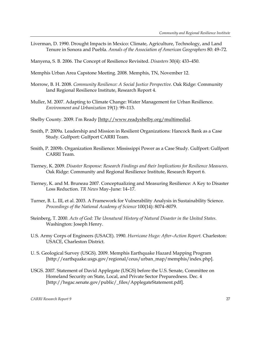Liverman, D. 1990. Drought Impacts in Mexico: Climate, Agriculture, Technology, and Land Tenure in Sonora and Puebla. *Annals of the Association of American Geographers* 80: 49–72.

Manyena, S. B. 2006. The Concept of Resilience Revisited. *Disasters* 30(4): 433–450.

Memphis Urban Area Capstone Meeting. 2008. Memphis, TN, November 12.

- Morrow, B. H. 2008. *Community Resilience: A Social Justice Perspective*. Oak Ridge: Community land Regional Resilience Institute, Research Report 4.
- Muller, M. 2007. Adapting to Climate Change: Water Management for Urban Resilience. *Environment and Urbanization* 19(1): 99–113.
- Shelby County. 2009. I'm Ready [http://www.readyshelby.org/multimedia].
- Smith, P. 2009a. Leadership and Mission in Resilient Organizations: Hancock Bank as a Case Study. Gulfport: Gulfport CARRI Team.
- Smith, P. 2009b. Organization Resilience: Mississippi Power as a Case Study. Gulfport: Gulfport CARRI Team.
- Tierney, K. 2009. *Disaster Response: Research Findings and their Implications for Resilience Measures*. Oak Ridge: Community and Regional Resilience Institute, Research Report 6.
- Tierney, K. and M. Bruneau 2007. Conceptualizing and Measuring Resilience: A Key to Disaster Loss Reduction. *TR News* May–June: 14–17.
- Turner, B. L. III, et al. 2003. A Framework for Vulnerability Analysis in Sustainability Science. *Proceedings of the National Academy of Science* 100(14): 8074–8079.
- Steinberg, T. 2000. *Acts of God: The Unnatural History of Natural Disaster in the United States*. Washington: Joseph Henry.
- U.S. Army Corps of Engineers (USACE). 1990. *Hurricane Hugo: After–Action Report.* Charleston: USACE, Charleston District.
- U. S. Geological Survey (USGS). 2009. Memphis Earthquake Hazard Mapping Program [http://earthquake.usgs.gov/regional/ceus/urban\_map/memphis/index.php].
- USGS. 2007. Statement of David Applegate (USGS) before the U.S. Senate, Committee on Homeland Security on State, Local, and Private Sector Preparedness. Dec. 4 [http://hsgac.senate.gov/public/\_files/ApplegateStatement.pdf].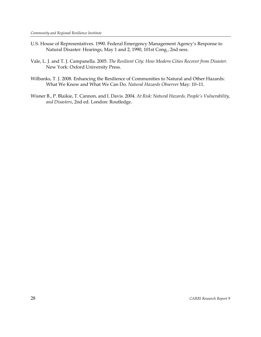- U.S. House of Representatives. 1990. Federal Emergency Management Agency's Response to Natural Disaster: Hearings, May 1 and 2, 1990, 101st Cong., 2nd sess.
- Vale, L. J. and T. J. Campanella. 2005. *The Resilient City: How Modern Cities Recover from Disaster.*  New York: Oxford University Press.
- Wilbanks, T. J. 2008. Enhancing the Resilience of Communities to Natural and Other Hazards: What We Know and What We Can Do. *Natural Hazards Observer* May: 10–11.
- Wisner B., P. Blaikie, T. Cannon, and I. Davis. 2004. *At Risk: Natural Hazards, People's Vulnerability, and Disasters*, 2nd ed. London: Routledge.